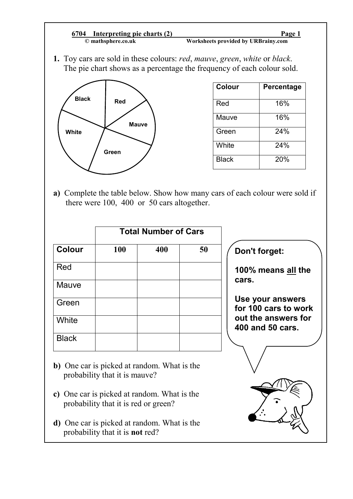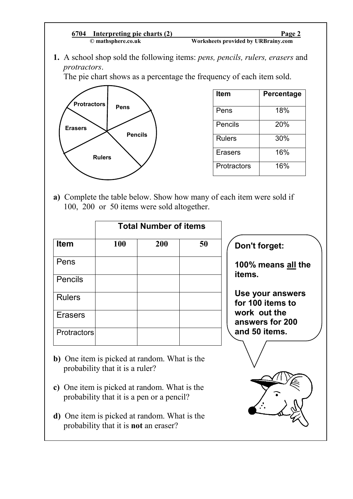## **© mathsphere.co.uk Worksheets provided by URBrainy.com 6704 Interpreting pie charts (2) Page 2**

**1.** A school shop sold the following items: *pens, pencils, rulers, erasers* and *protractors*.

The pie chart shows as a percentage the frequency of each item sold.



| <b>Item</b>    | Percentage |
|----------------|------------|
| Pens           | 18%        |
| Pencils        | 20%        |
| <b>Rulers</b>  | 30%        |
| <b>Erasers</b> | 16%        |
| Protractors    | 16%        |

**a)** Complete the table below. Show how many of each item were sold if 100, 200 or 50 items were sold altogether.

|                    | <b>Total Number of items</b> |     |    |  |
|--------------------|------------------------------|-----|----|--|
| <b>Item</b>        | 100                          | 200 | 50 |  |
| Pens               |                              |     |    |  |
| <b>Pencils</b>     |                              |     |    |  |
| <b>Rulers</b>      |                              |     |    |  |
| <b>Erasers</b>     |                              |     |    |  |
| <b>Protractors</b> |                              |     |    |  |

- 
- **b)** One item is picked at random. What is the probability that it is a ruler?
- **c)** One item is picked at random. What is the probability that it is a pen or a pencil?
- **d)** One item is picked at random. What is the probability that it is **not** an eraser?

## **Don't forget:**

**100% means all the items.** 

**Use your answers for 100 items to work out the answers for 200 and 50 items.**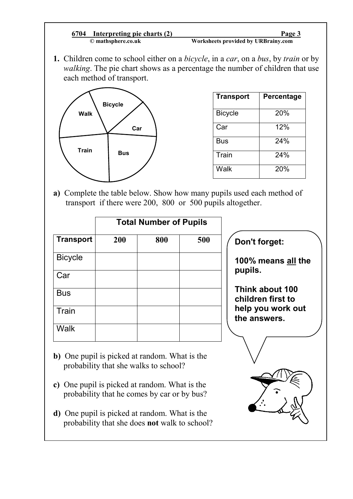## **© mathsphere.co.uk Worksheets provided by URBrainy.com 6704 Interpreting pie charts (2) Page 3**

**1.** Children come to school either on a *bicycle*, in a *car*, on a *bus*, by *train* or by *walking*. The pie chart shows as a percentage the number of children that use each method of transport.



| <b>Transport</b> | Percentage |
|------------------|------------|
| <b>Bicycle</b>   | 20%        |
| Car              | 12%        |
| Bus              | 24%        |
| Train            | 24%        |
| Walk             | 20%        |

**a)** Complete the table below. Show how many pupils used each method of transport if there were 200, 800 or 500 pupils altogether.

| <b>Total Number of Pupils</b> |     |     |                                                                                                                                                                                        |
|-------------------------------|-----|-----|----------------------------------------------------------------------------------------------------------------------------------------------------------------------------------------|
| 200                           | 800 | 500 | Don't forget:                                                                                                                                                                          |
|                               |     |     | 100% means all the                                                                                                                                                                     |
|                               |     |     | pupils.                                                                                                                                                                                |
|                               |     |     | Think about 100<br>children first to                                                                                                                                                   |
|                               |     |     | help you work out<br>the answers.                                                                                                                                                      |
|                               |     |     |                                                                                                                                                                                        |
|                               |     |     |                                                                                                                                                                                        |
|                               |     |     | b) One pupil is picked at random. What is the<br>probability that she walks to school?<br>c) One pupil is picked at random. What is the<br>probability that he comes by car or by bus? |

- pil is picked at random. What is the probability that he comes by car or by bus?
- **d)** One pupil is picked at random. What is the probability that she does **not** walk to school?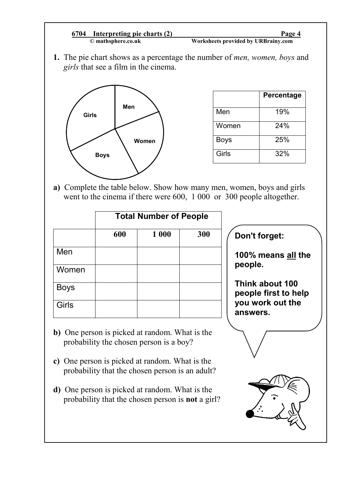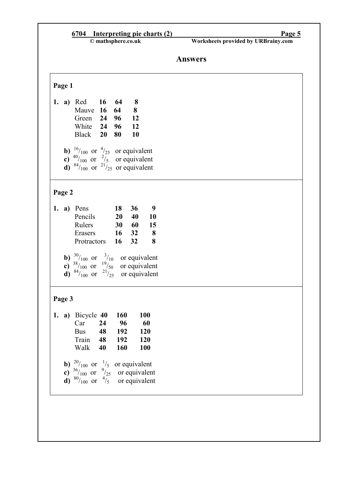|              | 6704 Interpreting pie charts (2)<br>© mathsphere.co.uk                                                                                                                                 | Page 5<br>Worksheets provided by URBrainy.com |  |
|--------------|----------------------------------------------------------------------------------------------------------------------------------------------------------------------------------------|-----------------------------------------------|--|
|              |                                                                                                                                                                                        | <b>Answers</b>                                |  |
| Page 1       |                                                                                                                                                                                        |                                               |  |
|              | 1. a) Red 16 64<br>8<br>$\bf{8}$<br>Mauve 16<br>64<br>96<br><b>12</b><br>Green<br>24<br>White 24<br>96<br><b>12</b><br>Black 20<br>80<br>10                                            |                                               |  |
|              | <b>b)</b> $\frac{16}{100}$ or $\frac{4}{25}$ or equivalent<br><b>c)</b> $\frac{40}{100}$ or $\frac{2}{5}$ or equivalent<br><b>d</b> ) $^{84}/_{100}$ or $^{21}/_{25}$ or equivalent    |                                               |  |
| Page 2       |                                                                                                                                                                                        |                                               |  |
|              | 18<br>9<br>1. a) Pens<br>36<br>Pencils<br>10<br>20<br>40<br>Rulers<br>30<br>- 60<br>15<br>32<br>$\overline{\mathbf{8}}$<br>Erasers<br>16<br>8<br>32<br>Protractors<br>16               |                                               |  |
|              | <b>b)</b> $\frac{30}{100}$ or $\frac{3}{10}$ or equivalent<br><b>c)</b> $\frac{38}{100}$ or $\frac{19}{100}$ or equivalent<br><b>d</b> ) $^{84}/_{100}$ or $^{21}/_{25}$ or equivalent |                                               |  |
| Page 3       |                                                                                                                                                                                        |                                               |  |
| 1.           | a) Bicycle 40<br><b>160</b><br><b>100</b><br>24<br>96<br>60<br>Car<br>48<br>192<br><b>Bus</b><br>120<br>192<br>120<br>48<br>Train<br>160<br>Walk<br>40<br><b>100</b>                   |                                               |  |
| $\mathbf{c}$ | <b>b</b> ) $\frac{20}{100}$ or $\frac{1}{5}$ or equivalent<br>$\frac{36}{100}$ or $\frac{9}{25}$ or equivalent<br>d) $^{80}/_{100}$ or $^{4}/_5$ or equivalent                         |                                               |  |
|              |                                                                                                                                                                                        |                                               |  |